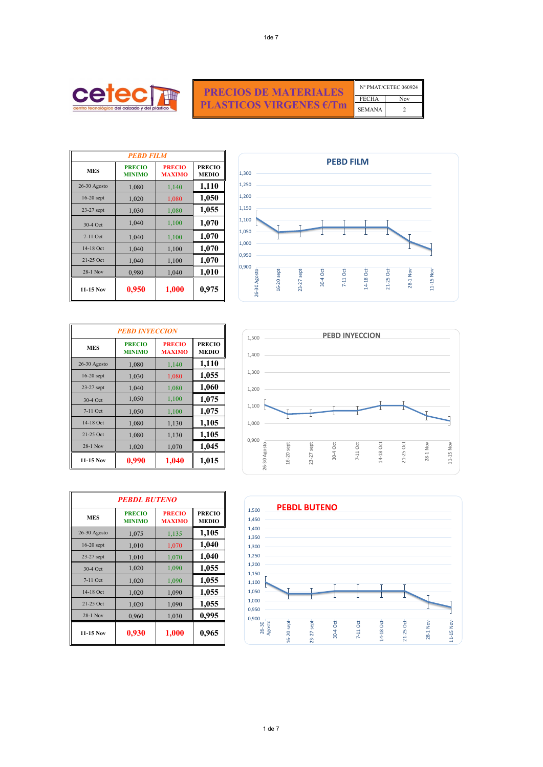|              | <b>PEBD FILM</b>               |                                |                               |  |
|--------------|--------------------------------|--------------------------------|-------------------------------|--|
| <b>MES</b>   | <b>PRECIO</b><br><b>MINIMO</b> | <b>PRECIO</b><br><b>MAXIMO</b> | <b>PRECIO</b><br><b>MEDIO</b> |  |
| 26-30 Agosto | 1,080                          | 1,140                          | 1,110                         |  |
| $16-20$ sept | 1,020                          | 1,080                          | 1,050                         |  |
| $23-27$ sept | 1,030                          | 1,080                          | 1,055                         |  |
| 30-4 Oct     | 1,040                          | 1,100                          | 1,070                         |  |
| $7-11$ Oct   | 1,040                          | 1,100                          | 1,070                         |  |
| 14-18 Oct    | 1,040                          | 1,100                          | 1,070                         |  |
| $21-25$ Oct  | 1,040                          | 1,100                          | 1,070                         |  |
| $28-1$ Nov   | 0,980                          | 1,040                          | 1,010                         |  |
| $11-15$ Nov  | 0,950                          | 1,000                          | 0,975                         |  |



| <b>PRECIOS DE MATERIALES</b>   |              | Nº PMAT/CETEC 060924 |
|--------------------------------|--------------|----------------------|
|                                | <b>FECHA</b> | <b>Nov</b>           |
| PLASTICOS VIRGENES €/Tm SEMANA |              |                      |

| <b>PEBD INYECCION</b> |                                |                                |                               |
|-----------------------|--------------------------------|--------------------------------|-------------------------------|
| <b>MES</b>            | <b>PRECIO</b><br><b>MINIMO</b> | <b>PRECIO</b><br><b>MAXIMO</b> | <b>PRECIO</b><br><b>MEDIO</b> |
| 26-30 Agosto          | 1,080                          | 1,140                          | 1,110                         |
| $16-20$ sept          | 1,030                          | 1,080                          | 1,055                         |
| 23-27 sept            | 1,040                          | 1,080                          | 1,060                         |
| 30-4 Oct              | 1,050                          | 1,100                          | 1,075                         |
| $7-11$ Oct            | 1,050                          | 1,100                          | 1,075                         |
| 14-18 Oct             | 1,080                          | 1,130                          | 1,105                         |
| 21-25 Oct             | 1,080                          | 1,130                          | 1,105                         |
| 28-1 Nov              | 1,020                          | 1,070                          | 1,045                         |
| 11-15 Nov             | 0,990                          | 1,040                          | 1,015                         |

| <b>PEBDL BUTENO</b> |                                |                                |                               |
|---------------------|--------------------------------|--------------------------------|-------------------------------|
| <b>MES</b>          | <b>PRECIO</b><br><b>MINIMO</b> | <b>PRECIO</b><br><b>MAXIMO</b> | <b>PRECIO</b><br><b>MEDIO</b> |
| 26-30 Agosto        | 1,075                          | 1,135                          | 1,105                         |
| 16-20 sept          | 1,010                          | 1,070                          | 1,040                         |
| $23-27$ sept        | 1,010                          | 1,070                          | 1,040                         |
| 30-4 Oct            | 1,020                          | 1,090                          | 1,055                         |
| $7-11$ Oct          | 1,020                          | 1,090                          | 1,055                         |
| 14-18 Oct           | 1,020                          | 1,090                          | 1,055                         |
| 21-25 Oct           | 1,020                          | 1,090                          | 1,055                         |
| 28-1 Nov            | 0,960                          | 1,030                          | 0,995                         |
| $11-15$ Nov         | 0,930                          | 1,000                          | 0,965                         |







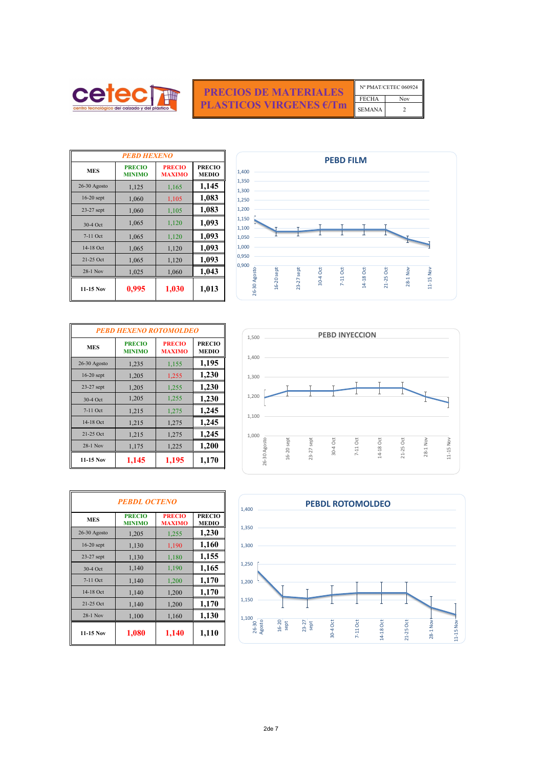| Nº PMAT/CETEC 060924 |  |  |
|----------------------|--|--|
| <b>FECHA</b><br>Nov  |  |  |
| <b>SEMANA</b>        |  |  |

| <b>PEBD HEXENO</b> |                                |                                |                               |
|--------------------|--------------------------------|--------------------------------|-------------------------------|
| <b>MES</b>         | <b>PRECIO</b><br><b>MINIMO</b> | <b>PRECIO</b><br><b>MAXIMO</b> | <b>PRECIO</b><br><b>MEDIO</b> |
| $26-30$ Agosto     | 1,125                          | 1,165                          | 1,145                         |
| $16-20$ sept       | 1,060                          | 1,105                          | 1,083                         |
| $23-27$ sept       | 1,060                          | 1,105                          | 1,083                         |
| 30-4 Oct           | 1,065                          | 1,120                          | 1,093                         |
| $7-11$ Oct         | 1,065                          | 1,120                          | 1,093                         |
| 14-18 Oct          | 1,065                          | 1,120                          | 1,093                         |
| 21-25 Oct          | 1,065                          | 1,120                          | 1,093                         |
| 28-1 Nov           | 1,025                          | 1,060                          | 1,043                         |
| 11-15 Nov          | 0,995                          | 1,030                          | 1,013                         |

| <b>PEBD HEXENO ROTOMOLDEO</b> |                                |                                |                               |
|-------------------------------|--------------------------------|--------------------------------|-------------------------------|
| <b>MES</b>                    | <b>PRECIO</b><br><b>MINIMO</b> | <b>PRECIO</b><br><b>MAXIMO</b> | <b>PRECIO</b><br><b>MEDIO</b> |
| 26-30 Agosto                  | 1,235                          | 1,155                          | 1,195                         |
| 16-20 sept                    | 1,205                          | 1,255                          | 1,230                         |
| 23-27 sept                    | 1,205                          | 1,255                          | 1,230                         |
| 30-4 Oct                      | 1,205                          | 1,255                          | 1,230                         |
| 7-11 Oct                      | 1,215                          | 1,275                          | 1,245                         |
| 14-18 Oct                     | 1,215                          | 1,275                          | 1,245                         |
| 21-25 Oct                     | 1,215                          | 1,275                          | 1,245                         |
| 28-1 Nov                      | 1,175                          | 1,225                          | 1,200                         |
| 11-15 Nov                     | 1,145                          | 1,195                          | 1,170                         |

| <b>PEBDL OCTENO</b> |                                |                                |                               |
|---------------------|--------------------------------|--------------------------------|-------------------------------|
| <b>MES</b>          | <b>PRECIO</b><br><b>MINIMO</b> | <b>PRECIO</b><br><b>MAXIMO</b> | <b>PRECIO</b><br><b>MEDIO</b> |
| 26-30 Agosto        | 1,205                          | 1,255                          | 1,230                         |
| $16-20$ sept        | 1,130                          | 1,190                          | 1,160                         |
| 23-27 sept          | 1,130                          | 1,180                          | 1,155                         |
| 30-4 Oct            | 1,140                          | 1,190                          | 1,165                         |
| $7-11$ Oct          | 1,140                          | 1,200                          | 1,170                         |
| 14-18 Oct           | 1,140                          | 1,200                          | 1,170                         |
| 21-25 Oct           | 1,140                          | 1,200                          | 1,170                         |
| 28-1 Nov            | 1,100                          | 1,160                          | 1,130                         |
| $11-15$ Nov         | 1,080                          | 1,140                          | 1,110                         |



| <b>PRECIOS DE MATERIALES</b>                |
|---------------------------------------------|
| <b>PLASTICOS VIRGENES <math>E/Tm</math></b> |







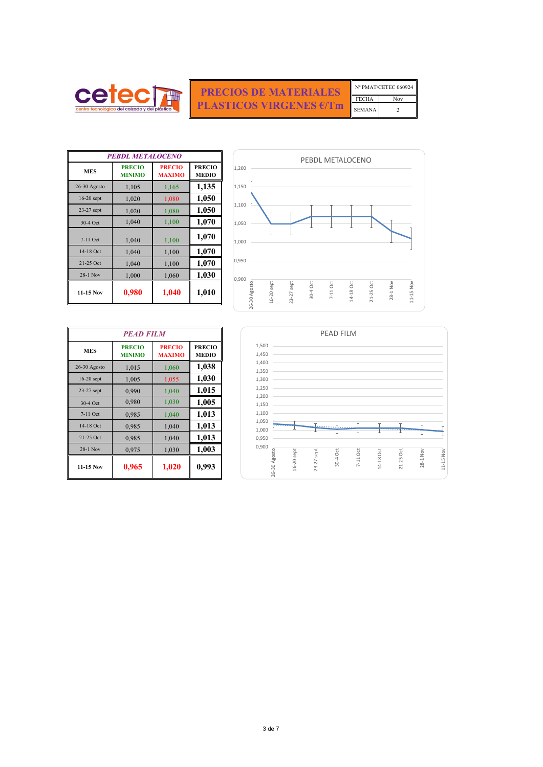| N° PMAT/CETEC 060924 |     |  |
|----------------------|-----|--|
| <b>FECHA</b>         | Nov |  |
| <b>SEMANA</b>        |     |  |

| <b>PEBDL METALOCENO</b> |                                |                                |                               |
|-------------------------|--------------------------------|--------------------------------|-------------------------------|
| <b>MES</b>              | <b>PRECIO</b><br><b>MINIMO</b> | <b>PRECIO</b><br><b>MAXIMO</b> | <b>PRECIO</b><br><b>MEDIO</b> |
| $26-30$ Agosto          | 1,105                          | 1,165                          | 1,135                         |
| $16-20$ sept            | 1,020                          | 1,080                          | 1,050                         |
| 23-27 sept              | 1,020                          | 1,080                          | 1,050                         |
| 30-4 Oct                | 1,040                          | 1,100                          | 1,070                         |
| 7-11 Oct                | 1,040                          | 1,100                          | 1,070                         |
| 14-18 Oct               | 1,040                          | 1,100                          | 1,070                         |
| $21-25$ Oct             | 1,040                          | 1,100                          | 1,070                         |
| 28-1 Nov                | 1,000                          | 1,060                          | 1,030                         |
| $11-15$ Nov             | 0,980                          | 1,040                          | 1,010                         |



EMPLE SE **PRECIOS DE MATERIALES PLASTICOS VIRGENES €/Tm**

| <b>PEAD FILM</b> |                                |                                |                               |
|------------------|--------------------------------|--------------------------------|-------------------------------|
| <b>MES</b>       | <b>PRECIO</b><br><b>MINIMO</b> | <b>PRECIO</b><br><b>MAXIMO</b> | <b>PRECIO</b><br><b>MEDIO</b> |
| 26-30 Agosto     | 1,015                          | 1,060                          | 1,038                         |
| $16-20$ sept     | 1,005                          | 1,055                          | 1,030                         |
| 23-27 sept       | 0,990                          | 1,040                          | 1,015                         |
| 30-4 Oct         | 0,980                          | 1,030                          | 1,005                         |
| $7-11$ Oct       | 0,985                          | 1,040                          | 1,013                         |
| 14-18 Oct        | 0,985                          | 1,040                          | 1,013                         |
| 21-25 Oct        | 0,985                          | 1,040                          | 1,013                         |
| 28-1 Nov         | 0,975                          | 1,030                          | 1,003                         |
| $11-15$ Nov      | 0,965                          | 1,020                          | 0,993                         |



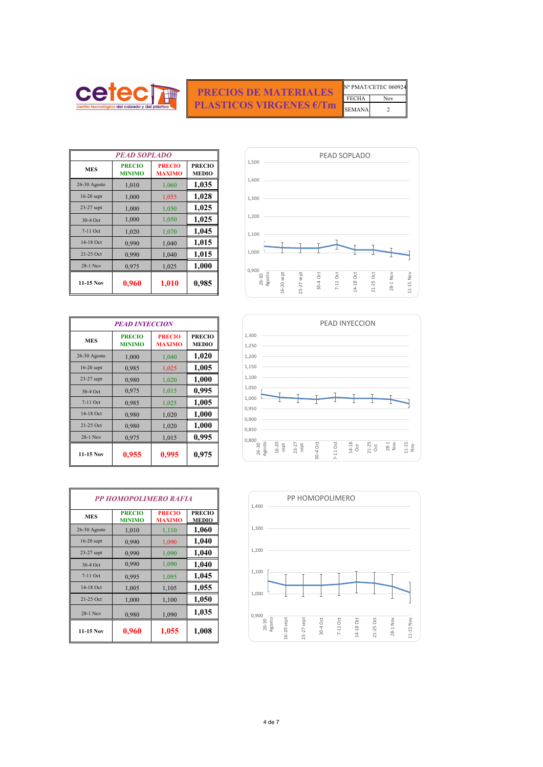FECHA Nov Nº PMAT/CETEC 060924

| <b>PEAD SOPLADO</b> |                                |                                |                               |  |
|---------------------|--------------------------------|--------------------------------|-------------------------------|--|
| <b>MES</b>          | <b>PRECIO</b><br><b>MINIMO</b> | <b>PRECIO</b><br><b>MAXIMO</b> | <b>PRECIO</b><br><b>MEDIO</b> |  |
| $26-30$ Agosto      | 1,010                          | 1,060                          | 1,035                         |  |
| $16-20$ sept        | 1,000                          | 1,055                          | 1,028                         |  |
| $23-27$ sept        | 1,000                          | 1,050                          | 1,025                         |  |
| 30-4 Oct            | 1,000                          | 1,050                          | 1,025                         |  |
| $7-11$ Oct          | 1,020                          | 1,070                          | 1,045                         |  |
| 14-18 Oct           | 0,990                          | 1,040                          | 1,015                         |  |
| 21-25 Oct           | 0,990                          | 1,040                          | 1,015                         |  |
| $28-1$ Nov          | 0,975                          | 1,025                          | 1,000                         |  |
| 11-15 Nov           | 0,960                          | 1,010                          | 0,985                         |  |

| centro tecnológico del calzado y del plástico |  |
|-----------------------------------------------|--|

SEMANA 2 **PRECIOS DE MATERIALES PLASTICOS VIRGENES €/Tm**

| <b>PEAD INYECCION</b> |                                |                                |                               |
|-----------------------|--------------------------------|--------------------------------|-------------------------------|
| <b>MES</b>            | <b>PRECIO</b><br><b>MINIMO</b> | <b>PRECIO</b><br><b>MAXIMO</b> | <b>PRECIO</b><br><b>MEDIO</b> |
| 26-30 Agosto          | 1,000                          | 1,040                          | 1,020                         |
| $16-20$ sept          | 0,985                          | 1,025                          | 1,005                         |
| $23-27$ sept          | 0,980                          | 1,020                          | 1,000                         |
| 30-4 Oct              | 0,975                          | 1,015                          | 0,995                         |
| $7-11$ Oct            | 0,985                          | 1,025                          | 1,005                         |
| 14-18 Oct             | 0,980                          | 1,020                          | 1,000                         |
| 21-25 Oct             | 0,980                          | 1,020                          | 1,000                         |
| 28-1 Nov              | 0,975                          | 1,015                          | 0,995                         |
| 11-15 Nov             | 0,955                          | 0,995                          | 0,975                         |

| <b>PP HOMOPOLIMERO RAFIA</b> |                                |                                |                               |
|------------------------------|--------------------------------|--------------------------------|-------------------------------|
| <b>MES</b>                   | <b>PRECIO</b><br><b>MINIMO</b> | <b>PRECIO</b><br><b>MAXIMO</b> | <b>PRECIO</b><br><b>MEDIO</b> |
| 26-30 Agosto                 | 1,010                          | 1,110                          | 1,060                         |
| $16-20$ sept                 | 0,990                          | 1,090                          | 1,040                         |
| $23-27$ sept                 | 0,990                          | 1,090                          | 1,040                         |
| 30-4 Oct                     | 0,990                          | 1,090                          | 1,040                         |
| $7-11$ Oct                   | 0,995                          | 1,095                          | 1,045                         |
| 14-18 Oct                    | 1,005                          | 1,105                          | 1,055                         |
| 21-25 Oct                    | 1,000                          | 1,100                          | 1,050                         |
| 28-1 Nov                     | 0,980                          | 1,090                          | 1,035                         |
| $11-15$ Nov                  | 0,960                          | 1,055                          | 1,008                         |







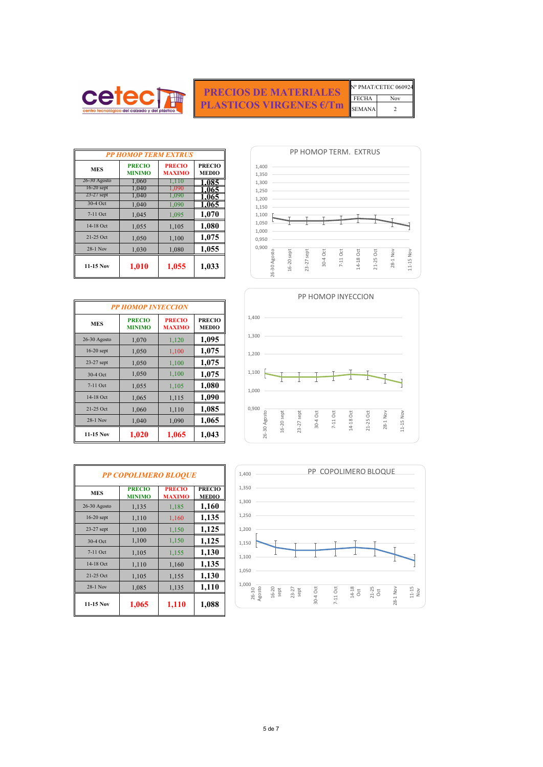| <b>PP HOMOP TERM EXTRUS</b> |                                |                                |                               |
|-----------------------------|--------------------------------|--------------------------------|-------------------------------|
| <b>MES</b>                  | <b>PRECIO</b><br><b>MINIMO</b> | <b>PRECIO</b><br><b>MAXIMO</b> | <b>PRECIO</b><br><b>MEDIO</b> |
| 26-30 Agosto                | 1,060                          | 1,110                          | 1.085                         |
| $16-20$ sept                | 1,040                          | 1,090                          | 1.065                         |
| $23-27$ sept                | 1,040                          | 1,090                          | 1.065                         |
| 30-4 Oct                    | 1,040                          | 1,090                          | 1.065                         |
| $7-11$ Oct                  | 1,045                          | 1,095                          | 1,070                         |
| 14-18 Oct                   | 1,055                          | 1,105                          | 1,080                         |
| 21-25 Oct                   | 1,050                          | 1,100                          | 1,075                         |
| 28-1 Nov                    | 1,030                          | 1,080                          | 1,055                         |
| $11-15$ Nov                 | 1,010                          | 1,055                          | 1,033                         |

| <b>PP HOMOP INYECCION</b> |                                |                                |                               |
|---------------------------|--------------------------------|--------------------------------|-------------------------------|
| <b>MES</b>                | <b>PRECIO</b><br><b>MINIMO</b> | <b>PRECIO</b><br><b>MAXIMO</b> | <b>PRECIO</b><br><b>MEDIO</b> |
| $26-30$ Agosto            | 1,070                          | 1,120                          | 1,095                         |
| 16-20 sept                | 1,050                          | 1,100                          | 1,075                         |
| 23-27 sept                | 1,050                          | 1,100                          | 1,075                         |
| 30-4 Oct                  | 1,050                          | 1,100                          | 1,075                         |
| 7-11 Oct                  | 1,055                          | 1,105                          | 1,080                         |
| 14-18 Oct                 | 1,065                          | 1,115                          | 1,090                         |
| 21-25 Oct                 | 1,060                          | 1,110                          | 1,085                         |
| 28-1 Nov                  | 1,040                          | 1,090                          | 1,065                         |
| $11-15$ Nov               | 1,020                          | 1,065                          | 1,043                         |

| <b>PP COPOLIMERO BLOQUE</b> |                                |                                |                               |
|-----------------------------|--------------------------------|--------------------------------|-------------------------------|
| <b>MES</b>                  | <b>PRECIO</b><br><b>MINIMO</b> | <b>PRECIO</b><br><b>MAXIMO</b> | <b>PRECIO</b><br><b>MEDIO</b> |
| 26-30 Agosto                | 1,135                          | 1,185                          | 1,160                         |
| $16-20$ sept                | 1,110                          | 1,160                          | 1,135                         |
| 23-27 sept                  | 1,100                          | 1,150                          | 1,125                         |
| 30-4 Oct                    | 1,100                          | 1,150                          | 1,125                         |
| 7-11 Oct                    | 1,105                          | 1,155                          | 1,130                         |
| 14-18 Oct                   | 1,110                          | 1,160                          | 1,135                         |
| 21-25 Oct                   | 1,105                          | 1,155                          | 1,130                         |
| $28-1$ Nov                  | 1,085                          | 1,135                          | 1,110                         |
| 11-15 Nov                   | 1,065                          | 1,110                          | 1,088                         |

| centro tecnológico del calzado y del plástico |  |
|-----------------------------------------------|--|

**PRECIOS DE MATERIALES PLASTICOS VIRGENES €/Tm**

FECHA Nov Nº PMAT/CETEC 060924 SEMANA 2



PP HOMOP TERM. EXTRUS



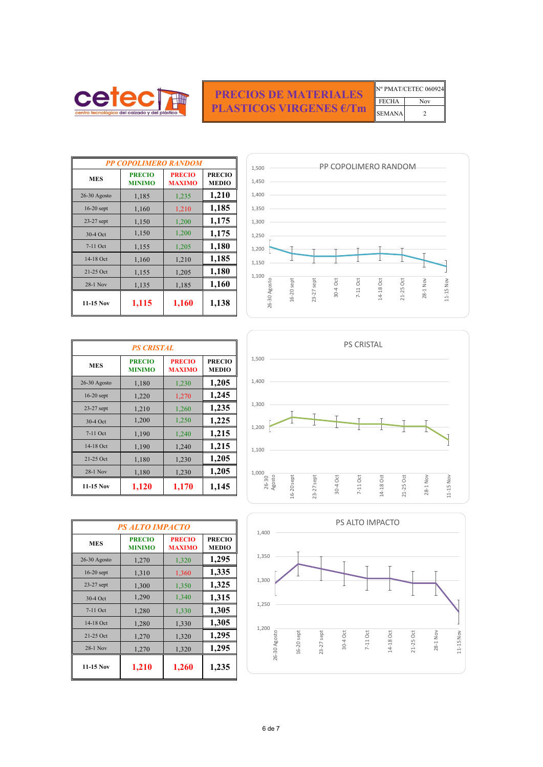6 de 7

|               | N° PMAT/CETEC 060924 |
|---------------|----------------------|
| <b>FECHA</b>  | Nov                  |
| <b>SEMANA</b> |                      |

| <b>PP COPOLIMERO RANDOM</b> |                                |                                |                               |  |
|-----------------------------|--------------------------------|--------------------------------|-------------------------------|--|
| <b>MES</b>                  | <b>PRECIO</b><br><b>MINIMO</b> | <b>PRECIO</b><br><b>MAXIMO</b> | <b>PRECIO</b><br><b>MEDIO</b> |  |
| $26-30$ Agosto              | 1,185                          | 1,235                          | 1,210                         |  |
| $16-20$ sept                | 1,160                          | 1,210                          | 1,185                         |  |
| 23-27 sept                  | 1,150                          | 1,200                          | 1,175                         |  |
| 30-4 Oct                    | 1,150                          | 1,200                          | 1,175                         |  |
| 7-11 Oct                    | 1,155                          | 1,205                          | 1,180                         |  |
| 14-18 Oct                   | 1,160                          | 1,210                          | 1,185                         |  |
| 21-25 Oct                   | 1,155                          | 1,205                          | 1,180                         |  |
| 28-1 Nov                    | 1,135                          | 1,185                          | 1,160                         |  |
| 11-15 Nov                   | 1,115                          | 1,160                          | 1,138                         |  |

| <b>PS CRISTAL</b> |                                |                                |                               |
|-------------------|--------------------------------|--------------------------------|-------------------------------|
| <b>MES</b>        | <b>PRECIO</b><br><b>MINIMO</b> | <b>PRECIO</b><br><b>MAXIMO</b> | <b>PRECIO</b><br><b>MEDIO</b> |
| 26-30 Agosto      | 1,180                          | 1,230                          | 1,205                         |
| $16-20$ sept      | 1,220                          | 1,270                          | 1,245                         |
| $23-27$ sept      | 1,210                          | 1,260                          | 1,235                         |
| 30-4 Oct          | 1,200                          | 1,250                          | 1,225                         |
| $7-11$ Oct        | 1,190                          | 1,240                          | 1,215                         |
| 14-18 Oct         | 1,190                          | 1,240                          | 1,215                         |
| 21-25 Oct         | 1,180                          | 1,230                          | 1,205                         |
| 28-1 Nov          | 1,180                          | 1,230                          | 1,205                         |
| $11-15$ Nov       | 1,120                          | 1,170                          | 1,145                         |

| <b>PS ALTO IMPACTO</b> |                                |                                |                               |
|------------------------|--------------------------------|--------------------------------|-------------------------------|
| <b>MES</b>             | <b>PRECIO</b><br><b>MINIMO</b> | <b>PRECIO</b><br><b>MAXIMO</b> | <b>PRECIO</b><br><b>MEDIO</b> |
| 26-30 Agosto           | 1,270                          | 1,320                          | 1,295                         |
| $16-20$ sept           | 1,310                          | 1,360                          | 1,335                         |
| $23-27$ sept           | 1,300                          | 1,350                          | 1,325                         |
| 30-4 Oct               | 1,290                          | 1,340                          | 1,315                         |
| $7-11$ Oct             | 1,280                          | 1,330                          | 1,305                         |
| 14-18 Oct              | 1,280                          | 1,330                          | 1,305                         |
| 21-25 Oct              | 1,270                          | 1,320                          | 1,295                         |
| $28-1$ Nov             | 1,270                          | 1,320                          | 1,295                         |
| 11-15 Nov              | 1,210                          | 1,260                          | 1,235                         |



## **PRECIOS DE MATERIALES PLASTICOS VIRGENES €/Tm**